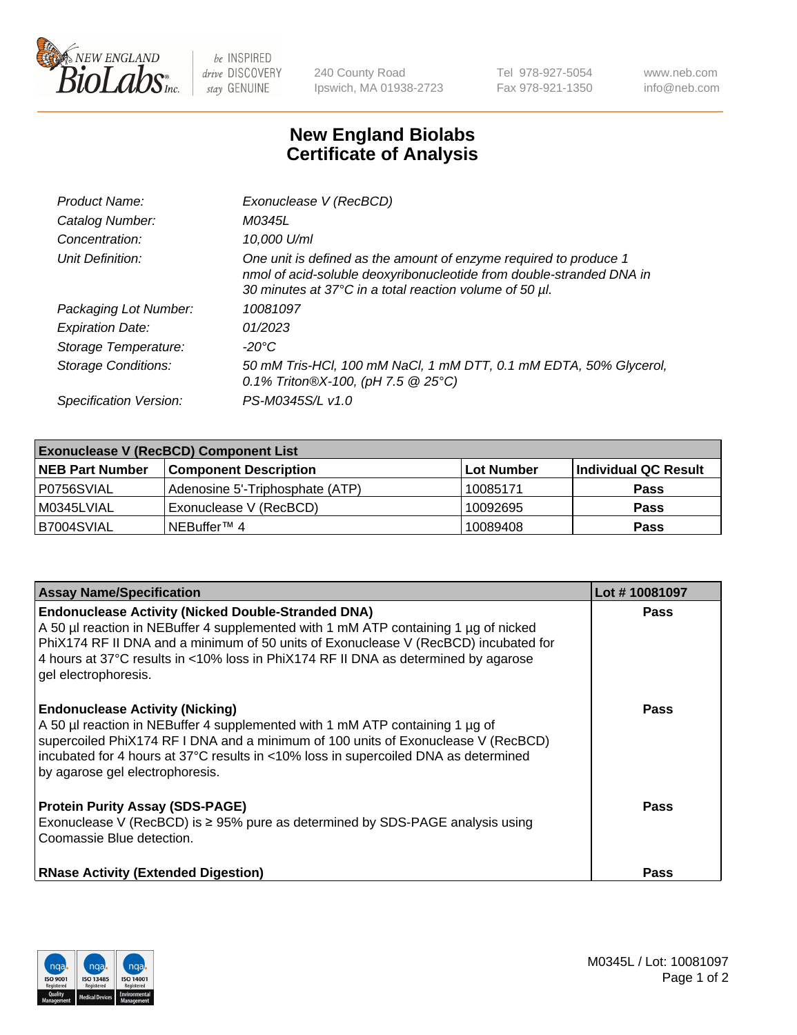

 $be$  INSPIRED drive DISCOVERY stay GENUINE

240 County Road Ipswich, MA 01938-2723 Tel 978-927-5054 Fax 978-921-1350 www.neb.com info@neb.com

## **New England Biolabs Certificate of Analysis**

| Product Name:              | Exonuclease V (RecBCD)                                                                                                                                                                               |
|----------------------------|------------------------------------------------------------------------------------------------------------------------------------------------------------------------------------------------------|
| Catalog Number:            | M0345L                                                                                                                                                                                               |
| Concentration:             | 10,000 U/ml                                                                                                                                                                                          |
| Unit Definition:           | One unit is defined as the amount of enzyme required to produce 1<br>nmol of acid-soluble deoxyribonucleotide from double-stranded DNA in<br>30 minutes at 37°C in a total reaction volume of 50 µl. |
| Packaging Lot Number:      | 10081097                                                                                                                                                                                             |
| <b>Expiration Date:</b>    | 01/2023                                                                                                                                                                                              |
| Storage Temperature:       | $-20^{\circ}$ C                                                                                                                                                                                      |
| <b>Storage Conditions:</b> | 50 mM Tris-HCl, 100 mM NaCl, 1 mM DTT, 0.1 mM EDTA, 50% Glycerol,<br>0.1% Triton®X-100, (pH 7.5 $@25°C$ )                                                                                            |
| Specification Version:     | PS-M0345S/L v1.0                                                                                                                                                                                     |

| <b>Exonuclease V (RecBCD) Component List</b> |                                 |                   |                      |  |
|----------------------------------------------|---------------------------------|-------------------|----------------------|--|
| <b>NEB Part Number</b>                       | <b>Component Description</b>    | <b>Lot Number</b> | Individual QC Result |  |
| I P0756SVIAL                                 | Adenosine 5'-Triphosphate (ATP) | 10085171          | <b>Pass</b>          |  |
| M0345LVIAL                                   | Exonuclease V (RecBCD)          | 10092695          | <b>Pass</b>          |  |
| B7004SVIAL                                   | INEBuffer™ 4                    | 10089408          | <b>Pass</b>          |  |

| <b>Assay Name/Specification</b>                                                                                                                                                                                                                                                                                                                       | Lot #10081097 |
|-------------------------------------------------------------------------------------------------------------------------------------------------------------------------------------------------------------------------------------------------------------------------------------------------------------------------------------------------------|---------------|
| <b>Endonuclease Activity (Nicked Double-Stranded DNA)</b><br>A 50 µl reaction in NEBuffer 4 supplemented with 1 mM ATP containing 1 µg of nicked<br>PhiX174 RF II DNA and a minimum of 50 units of Exonuclease V (RecBCD) incubated for<br>4 hours at 37°C results in <10% loss in PhiX174 RF II DNA as determined by agarose<br>gel electrophoresis. | <b>Pass</b>   |
| <b>Endonuclease Activity (Nicking)</b><br>A 50 µl reaction in NEBuffer 4 supplemented with 1 mM ATP containing 1 µg of<br>supercoiled PhiX174 RF I DNA and a minimum of 100 units of Exonuclease V (RecBCD)<br>incubated for 4 hours at 37°C results in <10% loss in supercoiled DNA as determined<br>by agarose gel electrophoresis.                 | <b>Pass</b>   |
| <b>Protein Purity Assay (SDS-PAGE)</b><br>Exonuclease V (RecBCD) is $\geq 95\%$ pure as determined by SDS-PAGE analysis using<br>Coomassie Blue detection.                                                                                                                                                                                            | <b>Pass</b>   |
| <b>RNase Activity (Extended Digestion)</b>                                                                                                                                                                                                                                                                                                            | Pass          |